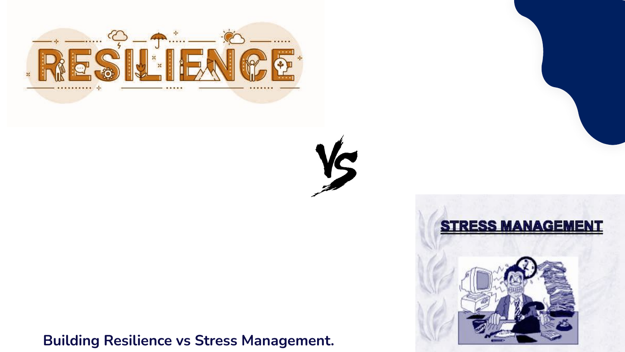

**Building Resilience vs Stress Management.**





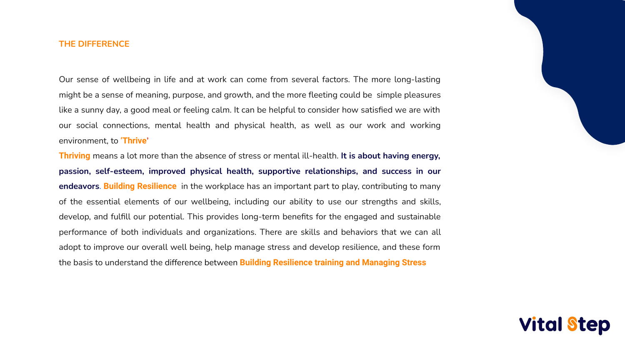# **THE DIFFERENCE**

Our sense of wellbeing in life and at work can come from several factors. The more long-lasting might be a sense of meaning, purpose, and growth, and the more fleeting could be simple pleasures like a sunny day, a good meal or feeling calm. It can be helpful to consider how satisfied we are with our social connections, mental health and physical health, as well as our work and working environment, to **'Thrive'**

**Thriving** means a lot more than the absence of stress or mental ill-health. **It is about having energy, passion, self-esteem, improved physical health, supportive relationships, and success in our endeavors**. **Building Resilience** in the workplace has an important part to play, contributing to many of the essential elements of our wellbeing, including our ability to use our strengths and skills, develop, and fulfill our potential. This provides long-term benefits for the engaged and sustainable performance of both individuals and organizations. There are skills and behaviors that we can all adopt to improve our overall well being, help manage stress and develop resilience, and these form the basis to understand the difference between **Building Resilience training and Managing Stress** 

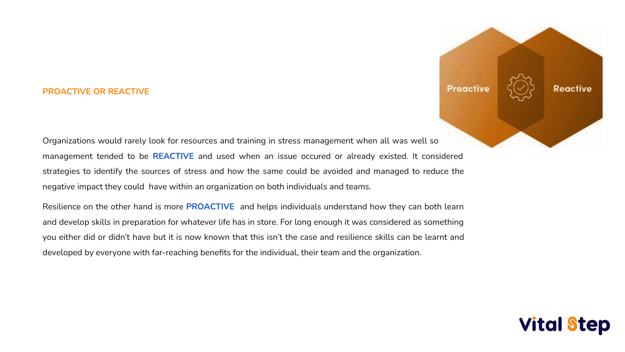# **PROACTIVE OR REACTIVE**

Organizations would rarely look for resources and training in stress management when all was well so management tended to be **REACTIVE** and used when an issue occured or already existed. It considered strategies to identify the sources of stress and how the same could be avoided and managed to reduce the negative impact they could have within an organization on both individuals and teams. Resilience on the other hand is more **PROACTIVE** and helps individuals understand how they can both learn and develop skills in preparation for whatever life has in store. For long enough it was considered as something you either did or didn't have but it is now known that this isn't the case and resilience skills can be learnt and developed by everyone with far-reaching benefits for the individual, their team and the organization.



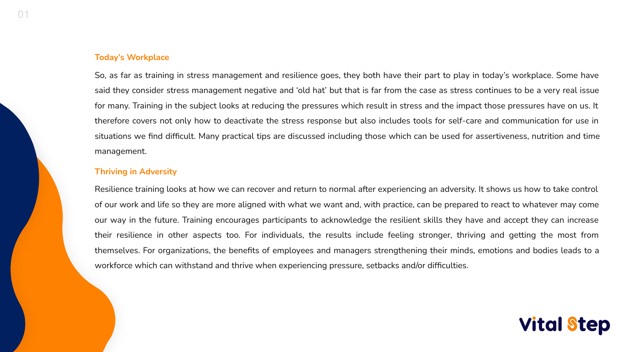01

# **Today's Workplace**

So, as far as training in stress management and resilience goes, they both have their part to play in today's workplace. Some have said they consider stress management negative and 'old hat' but that is far from the case as stress continues to be a very real issue for many. Training in the subject looks at reducing the pressures which result in stress and the impact those pressures have on us. It therefore covers not only how to deactivate the stress response but also includes tools for self-care and communication for use in situations we find difficult. Many practical tips are discussed including those which can be used for assertiveness, nutrition and time management.

# **Thriving in Adversity**

Resilience training looks at how we can recover and return to normal after experiencing an adversity. It shows us how to take control of our work and life so they are more aligned with what we want and, with practice, can be prepared to react to whatever may come our way in the future. Training encourages participants to acknowledge the resilient skills they have and accept they can increase their resilience in other aspects too. For individuals, the results include feeling stronger, thriving and getting the most from themselves. For organizations, the benefits of employees and managers strengthening their minds, emotions and bodies leads to a workforce which can withstand and thrive when experiencing pressure, setbacks and/or difficulties.